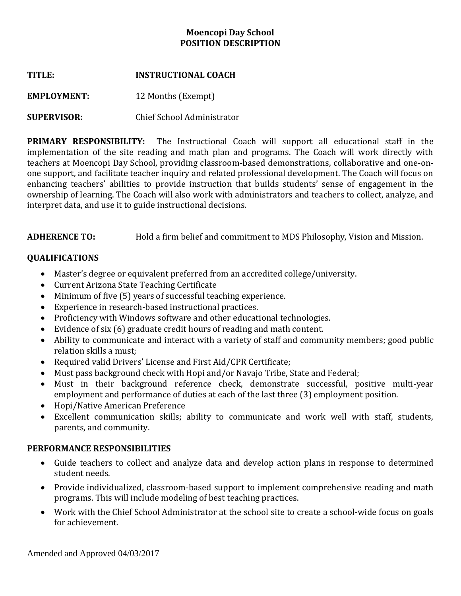# **Moencopi Day School POSITION DESCRIPTION**

| TITLE: | <b>INSTRUCTIONAL COACH</b> |
|--------|----------------------------|
|        |                            |

**EMPLOYMENT:** 12 Months (Exempt)

# **SUPERVISOR:** Chief School Administrator

**PRIMARY RESPONSIBILITY:** The Instructional Coach will support all educational staff in the implementation of the site reading and math plan and programs. The Coach will work directly with teachers at Moencopi Day School, providing classroom-based demonstrations, collaborative and one-onone support, and facilitate teacher inquiry and related professional development. The Coach will focus on enhancing teachers' abilities to provide instruction that builds students' sense of engagement in the ownership of learning. The Coach will also work with administrators and teachers to collect, analyze, and interpret data, and use it to guide instructional decisions.

**ADHERENCE TO:** Hold a firm belief and commitment to MDS Philosophy, Vision and Mission.

# **QUALIFICATIONS**

- Master's degree or equivalent preferred from an accredited college/university.
- Current Arizona State Teaching Certificate
- Minimum of five (5) years of successful teaching experience.
- Experience in research-based instructional practices.
- Proficiency with Windows software and other educational technologies.
- Evidence of six (6) graduate credit hours of reading and math content.
- Ability to communicate and interact with a variety of staff and community members; good public relation skills a must;
- Required valid Drivers' License and First Aid/CPR Certificate;
- Must pass background check with Hopi and/or Navajo Tribe, State and Federal;
- Must in their background reference check, demonstrate successful, positive multi-year employment and performance of duties at each of the last three (3) employment position.
- Hopi/Native American Preference
- Excellent communication skills; ability to communicate and work well with staff, students, parents, and community.

## **PERFORMANCE RESPONSIBILITIES**

- Guide teachers to collect and analyze data and develop action plans in response to determined student needs.
- Provide individualized, classroom-based support to implement comprehensive reading and math programs. This will include modeling of best teaching practices.
- Work with the Chief School Administrator at the school site to create a school-wide focus on goals for achievement.

Amended and Approved 04/03/2017